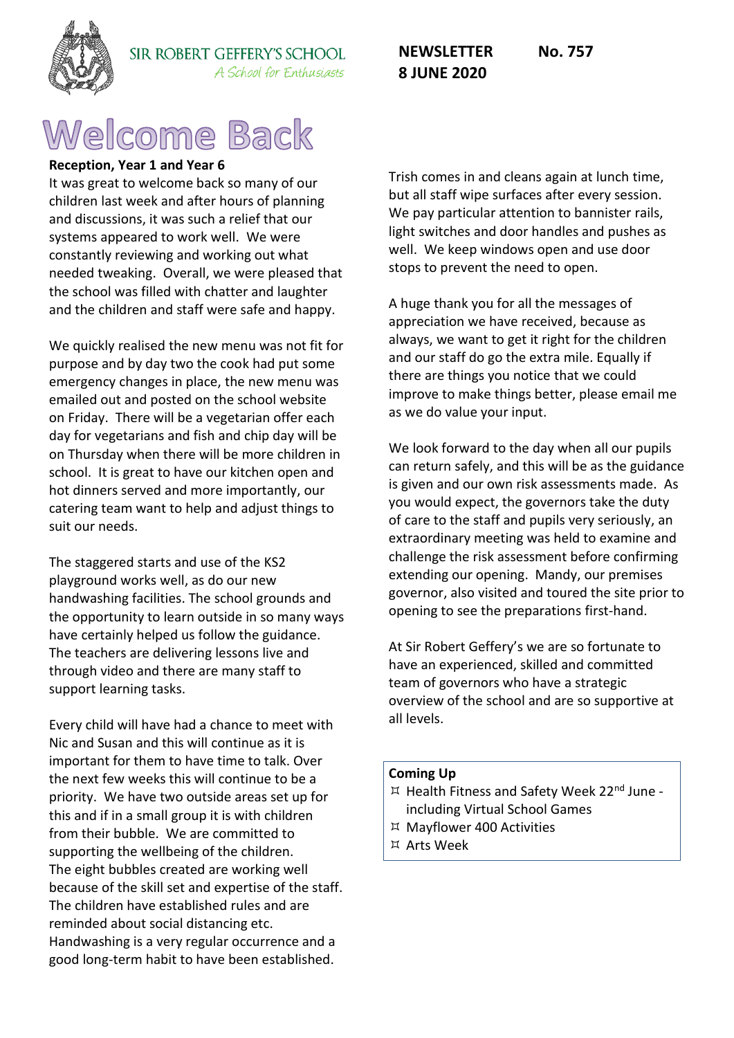

#### SIR ROBERT GEFFERY'S SCHOOL A School for Enthusiasts

# Welcome Back

# **Reception, Year 1 and Year 6**

It was great to welcome back so many of our children last week and after hours of planning and discussions, it was such a relief that our systems appeared to work well. We were constantly reviewing and working out what needed tweaking. Overall, we were pleased that the school was filled with chatter and laughter and the children and staff were safe and happy.

We quickly realised the new menu was not fit for purpose and by day two the cook had put some emergency changes in place, the new menu was emailed out and posted on the school website on Friday. There will be a vegetarian offer each day for vegetarians and fish and chip day will be on Thursday when there will be more children in school. It is great to have our kitchen open and hot dinners served and more importantly, our catering team want to help and adjust things to suit our needs.

The staggered starts and use of the KS2 playground works well, as do our new handwashing facilities. The school grounds and the opportunity to learn outside in so many ways have certainly helped us follow the guidance. The teachers are delivering lessons live and through video and there are many staff to support learning tasks.

Every child will have had a chance to meet with Nic and Susan and this will continue as it is important for them to have time to talk. Over the next few weeks this will continue to be a priority. We have two outside areas set up for this and if in a small group it is with children from their bubble. We are committed to supporting the wellbeing of the children. The eight bubbles created are working well because of the skill set and expertise of the staff. The children have established rules and are reminded about social distancing etc. Handwashing is a very regular occurrence and a good long-term habit to have been established.

Trish comes in and cleans again at lunch time, but all staff wipe surfaces after every session. We pay particular attention to bannister rails, light switches and door handles and pushes as well. We keep windows open and use door stops to prevent the need to open.

A huge thank you for all the messages of appreciation we have received, because as always, we want to get it right for the children and our staff do go the extra mile. Equally if there are things you notice that we could improve to make things better, please email me as we do value your input.

We look forward to the day when all our pupils can return safely, and this will be as the guidance is given and our own risk assessments made. As you would expect, the governors take the duty of care to the staff and pupils very seriously, an extraordinary meeting was held to examine and challenge the risk assessment before confirming extending our opening. Mandy, our premises governor, also visited and toured the site prior to opening to see the preparations first-hand.

At Sir Robert Geffery's we are so fortunate to have an experienced, skilled and committed team of governors who have a strategic overview of the school and are so supportive at all levels.

#### **Coming Up**

- ¤ Health Fitness and Safety Week 22<sup>nd</sup> June including Virtual School Games
- Mayflower 400 Activities
- Arts Week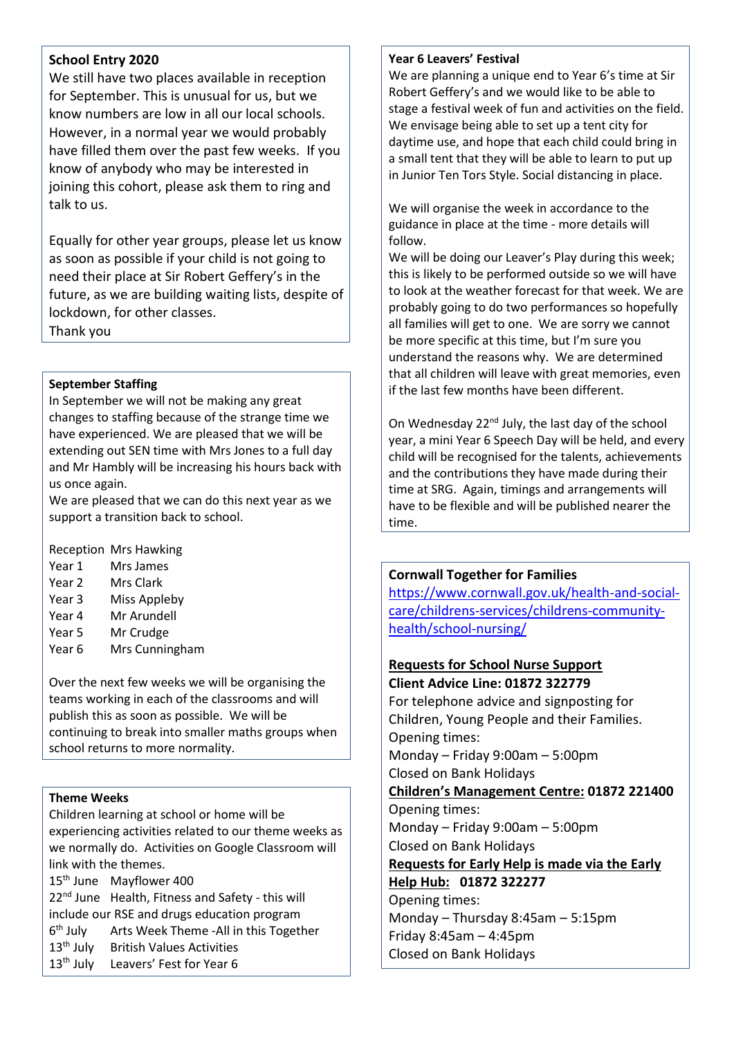## **School Entry 2020**

We still have two places available in reception for September. This is unusual for us, but we know numbers are low in all our local schools. However, in a normal year we would probably have filled them over the past few weeks. If you know of anybody who may be interested in joining this cohort, please ask them to ring and talk to us.

Equally for other year groups, please let us know as soon as possible if your child is not going to need their place at Sir Robert Geffery's in the future, as we are building waiting lists, despite of lockdown, for other classes. Thank you

### **September Staffing**

In September we will not be making any great changes to staffing because of the strange time we have experienced. We are pleased that we will be extending out SEN time with Mrs Jones to a full day and Mr Hambly will be increasing his hours back with us once again.

We are pleased that we can do this next year as we support a transition back to school.

Reception Mrs Hawking

- Year 1 Mrs James
- Year 2 Mrs Clark
- Year 3 Miss Appleby
- Year 4 Mr Arundell
- Year 5 Mr Crudge
- Year 6 Mrs Cunningham

Over the next few weeks we will be organising the teams working in each of the classrooms and will publish this as soon as possible. We will be continuing to break into smaller maths groups when school returns to more normality.

### **Theme Weeks**

Children learning at school or home will be experiencing activities related to our theme weeks as we normally do. Activities on Google Classroom will link with the themes.

15<sup>th</sup> June Mayflower 400 22<sup>nd</sup> June Health, Fitness and Safety - this will include our RSE and drugs education program 6<sup>th</sup> July Arts Week Theme -All in this Together 13<sup>th</sup> July British Values Activities 13<sup>th</sup> July Leavers' Fest for Year 6

#### **Year 6 Leavers' Festival**

We are planning a unique end to Year 6's time at Sir Robert Geffery's and we would like to be able to stage a festival week of fun and activities on the field. We envisage being able to set up a tent city for daytime use, and hope that each child could bring in a small tent that they will be able to learn to put up in Junior Ten Tors Style. Social distancing in place.

We will organise the week in accordance to the guidance in place at the time - more details will follow.

We will be doing our Leaver's Play during this week; this is likely to be performed outside so we will have to look at the weather forecast for that week. We are probably going to do two performances so hopefully all families will get to one. We are sorry we cannot be more specific at this time, but I'm sure you understand the reasons why. We are determined that all children will leave with great memories, even if the last few months have been different.

On Wednesday 22<sup>nd</sup> July, the last day of the school year, a mini Year 6 Speech Day will be held, and every child will be recognised for the talents, achievements and the contributions they have made during their time at SRG. Again, timings and arrangements will have to be flexible and will be published nearer the time.

## **Cornwall Together for Families**

[https://www.cornwall.gov.uk/health-and-social](https://www.cornwall.gov.uk/health-and-social-care/childrens-services/childrens-community-health/school-nursing/)[care/childrens-services/childrens-community](https://www.cornwall.gov.uk/health-and-social-care/childrens-services/childrens-community-health/school-nursing/)[health/school-nursing/](https://www.cornwall.gov.uk/health-and-social-care/childrens-services/childrens-community-health/school-nursing/)

#### **Requests for School Nurse Support Client Advice Line: 01872 322779**

For telephone advice and signposting for Children, Young People and their Families. Opening times: Monday – Friday 9:00am – 5:00pm Closed on Bank Holidays **Children's Management Centre: 01872 221400**  Opening times: Monday – Friday 9:00am – 5:00pm Closed on Bank Holidays **Requests for Early Help is made via the Early Help Hub: 01872 322277**  Opening times: Monday – Thursday 8:45am – 5:15pm Friday 8:45am – 4:45pm Closed on Bank Holidays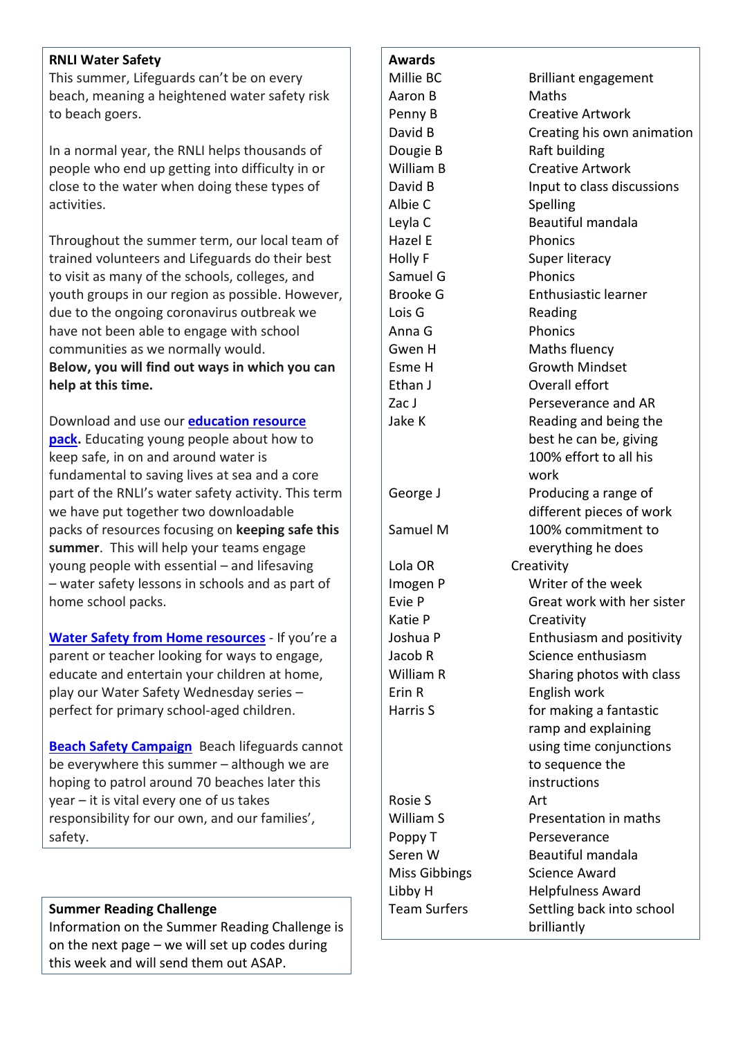## **RNLI Water Safety**

This summer, Lifeguards can't be on every beach, meaning a heightened water safety risk to beach goers.

In a normal year, the RNLI helps thousands of people who end up getting into difficulty in or close to the water when doing these types of activities.

Throughout the summer term, our local team of trained volunteers and Lifeguards do their best to visit as many of the schools, colleges, and youth groups in our region as possible. However, due to the ongoing coronavirus outbreak we have not been able to engage with school communities as we normally would. **Below, you will find out ways in which you can help at this time.**

Download and use our **[education](https://rnli.org/Youth-education/water-safety-from-home) resource [pack.](https://rnli.org/Youth-education/water-safety-from-home)** Educating young people about how to keep safe, in on and around water is fundamental to saving lives at sea and a core part of the RNLI's water safety activity. This term we have put together two downloadable packs of resources focusing on **keeping safe this summer**. This will help your teams engage young people with essential – and lifesaving – water safety lessons in schools and as part of home school packs.

**Water Safety from Home [resources](https://rnli.org/youth-education/education-resources/water-safety-wednesdays)** - If you're a parent or teacher looking for ways to engage, educate and entertain your children at home, play our Water Safety Wednesday series – perfect for primary school-aged children.

**Beach Safety [Campaign](https://rnli.org/pages/beach2020)** Beach lifeguards cannot be everywhere this summer – although we are hoping to patrol around 70 beaches later this year – it is vital every one of us takes responsibility for our own, and our families', safety.

# **Summer Reading Challenge**

Information on the Summer Reading Challenge is on the next page – we will set up codes during this week and will send them out ASAP.

#### **Awards**

Aaron B Maths Dougie B Raft building Albie C Spelling Hazel E Phonics Samuel G Phonics Lois G Reading Anna G Phonics Ethan J **Overall effort** Lola OR Creativity Katie P Creativity Erin R English work Rosie S Art Poppy T Perseverance

Millie BC Brilliant engagement Penny B Creative Artwork David B Creating his own animation William B Creative Artwork David B **Input to class discussions** Leyla C Beautiful mandala Holly F Super literacy Brooke G Enthusiastic learner Gwen H Maths fluency Esme H Growth Mindset Zac J Perseverance and AR Jake K **Reading and being the** best he can be, giving 100% effort to all his work George J **Producing a range of** different pieces of work Samuel M 100% commitment to everything he does Imogen P Writer of the week Evie P Great work with her sister Joshua P Enthusiasm and positivity Jacob R Science enthusiasm William R Sharing photos with class Harris S **For making a fantastic** ramp and explaining using time conjunctions to sequence the instructions William S **Presentation in maths** Seren W Beautiful mandala Miss Gibbings Science Award Libby H Helpfulness Award Team Surfers Settling back into school brilliantly